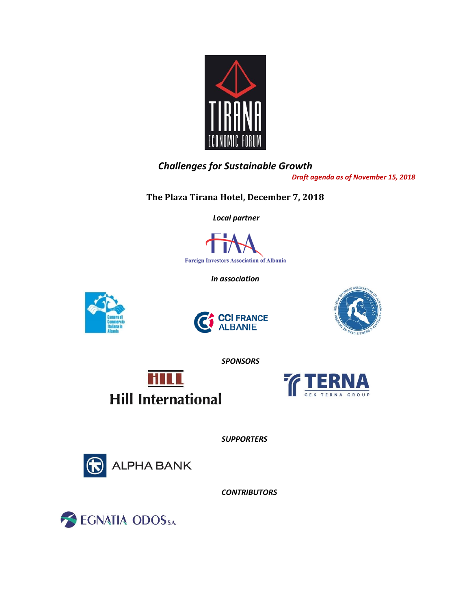

# *Challenges for Sustainable Growth*

*Draft agenda as of November 15, 2018*

**The Plaza Tirana Hotel, December 7, 2018**

 *Local partner*



*In association* 







*SPONSORS*





*SUPPORTERS*



*CONTRIBUTORS*

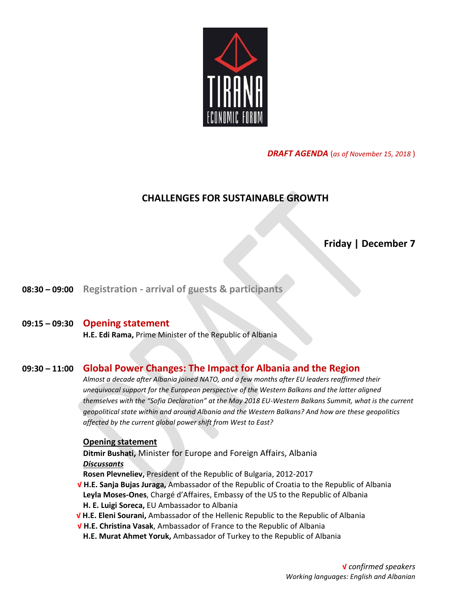

*DRAFT AGENDA* (*as of November 15, 2018* )

## **CHALLENGES FOR SUSTAINABLE GROWTH**

## **Friday | December 7**

**08:30 – 09:00 Registration - arrival of guests & participants**

#### **09:15 – 09:30 Opening statement**

**H.E. Edi Rama,** Prime Minister of the Republic of Albania

### **09:30 – 11:00 Global Power Changes: The Impact for Albania and the Region**

*Almost a decade after Albania joined NATO, and a few months after EU leaders reaffirmed their unequivocal support for the European perspective of the Western Balkans and the latter aligned themselves with the "Sofia Declaration" at the May 2018 EU-Western Balkans Summit, what is the current geopolitical state within and around Albania and the Western Balkans? And how are these geopolitics affected by the current global power shift from West to East?*

#### **Opening statement**

**Ditmir Bushati,** Minister for Europe and Foreign Affairs, Albania *Discussants*

**Rosen Plevneliev,** President of the Republic of Bulgaria, 2012-2017

- **√ H.E. Sanja Bujas Juraga,** Ambassador of the Republic of Croatia to the Republic of Albania **Leyla Moses-Ones**, Chargé d'Affaires, Embassy of the US to the Republic of Albania **H. E. Luigi Soreca,** EU Ambassador to Albania
- **√ H.E. Eleni Sourani,** Ambassador of the Hellenic Republic to the Republic of Albania
- **√ H.E. Christina Vasak**, Ambassador of France to the Republic of Albania
- **H.E. Murat Ahmet Yoruk,** Ambassador of Turkey to the Republic of Albania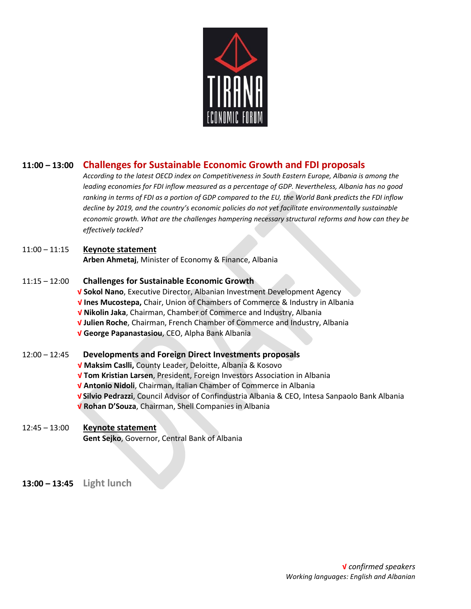

## **11:00 – 13:00 Challenges for Sustainable Economic Growth and FDI proposals**

*According to the latest OECD index on Competitiveness in South Eastern Europe, Albania is among the leading economies for FDI inflow measured as a percentage of GDP. Nevertheless, Albania has no good ranking in terms of FDI as a portion of GDP compared to the EU, the World Bank predicts the FDI inflow decline by 2019, and the country's economic policies do not yet facilitate environmentally sustainable economic growth. What are the challenges hampering necessary structural reforms and how can they be effectively tackled?*

#### 11:00 – 11:15 **Keynote statement**

**Arben Ahmetaj**, Minister of Economy & Finance, Albania

#### 11:15 – 12:00 **Challenges for Sustainable Economic Growth**

- **√ Sokol Nano**, Executive Director, Albanian Investment Development Agency
- **√ Ines Mucostepa,** Chair, Union of Chambers of Commerce & Industry in Albania
- **√ Nikolin Jaka**, Chairman, Chamber of Commerce and Industry, Albania
- **√ Julien Roche**, Chairman, French Chamber of Commerce and Industry, Albania
- **√ George Papanastasiou**, CEO, Alpha Bank Albania

#### 12:00 – 12:45 **Developments and Foreign Direct Investments proposals**

- **√ Maksim Caslli,** County Leader, Deloitte, Albania & Kosovo
- **√ Tom Kristian Larsen**, President, Foreign Investors Association in Albania
- **√ Antonio Nidoli**, Chairman, Italian Chamber of Commerce in Albania
- **√ Silvio Pedrazzi**, Council Advisor of Confindustria Albania & CEO, Intesa Sanpaolo Bank Albania
- **√ Rohan D'Souza**, Chairman, Shell Companies in Albania

#### 12:45 – 13:00 **Keynote statement Gent Sejko**, Governor, Central Bank of Albania

**13:00 – 13:45 Light lunch**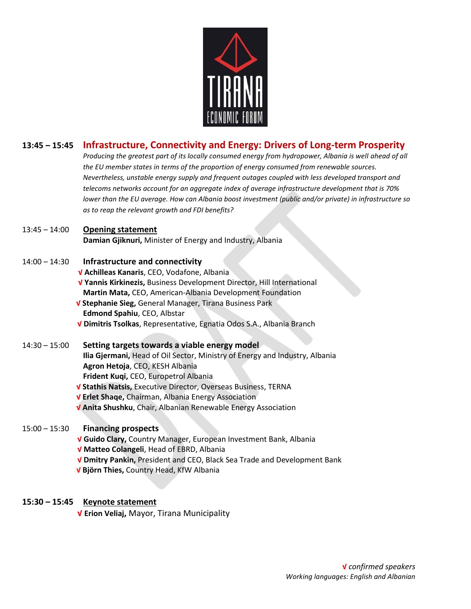

## **13:45 – 15:45 Infrastructure, Connectivity and Energy: Drivers of Long-term Prosperity**

*Producing the greatest part of its locally consumed energy from hydropower, Albania is well ahead of all the EU member states in terms of the proportion of energy consumed from renewable sources. Nevertheless, unstable energy supply and frequent outages coupled with less developed transport and telecoms networks account for an aggregate index of average infrastructure development that is 70% lower than the EU average. How can Albania boost investment (public and/or private) in infrastructure so as to reap the relevant growth and FDI benefits?*

#### 13:45 – 14:00 **Opening statement**

**Damian Gjiknuri,** Minister of Energy and Industry, Albania

### 14:00 – 14:30 **Infrastructure and connectivity**

- **√ Achilleas Kanaris**, CEO, Vodafone, Albania
- **√ Yannis Kirkinezis,** Business Development Director, Hill International **Martin Mata,** CEO, American-Albania Development Foundation
- **√ Stephanie Sieg,** General Manager, Tirana Business Park **Edmond Spahiu**, CEO, Albstar
- **√ Dimitris Tsolkas**, Representative, Egnatia Odos S.A., Albania Branch

### 14:30 – 15:00 **Setting targets towards a viable energy model**

**Ilia Gjermani,** Head of Oil Sector, Ministry of Energy and Industry, Albania **Agron Hetoja**, CEO, KESH Albania **Frident Kuqi,** CEO, Europetrol Albania

- **√ Stathis Natsis,** Executive Director, Overseas Business, TERNA
- **√ Erlet Shaqe,** Chairman, Albania Energy Association
- **√ Anita Shushku**, Chair, Albanian Renewable Energy Association

### 15:00 – 15:30 **Financing prospects**

- **√ Guido Clary,** Country Manager, European Investment Bank, Albania
- **√ Matteo Colangeli**, Head of EBRD, Albania
- **√ Dmitry Pankin,** President and CEO, Black Sea Trade and Development Bank
- **√ Björn Thies,** Country Head, KfW Albania

#### **15:30 – 15:45 Keynote statement**

**√ Erion Veliaj,** Mayor, Tirana Municipality